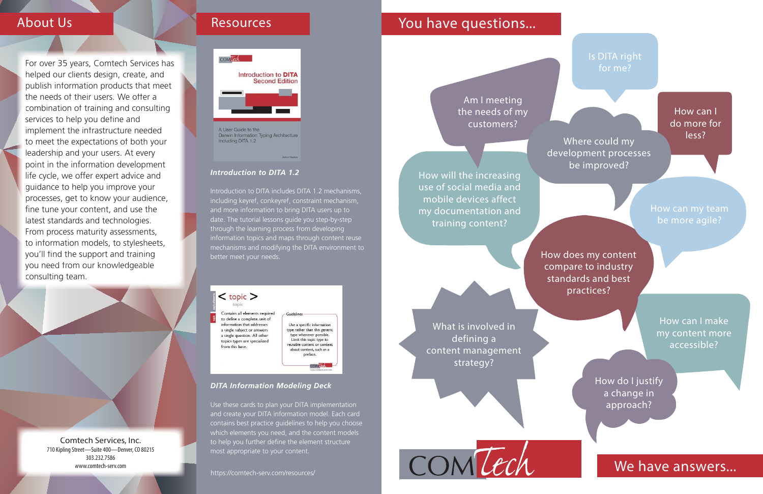Comtech Services, Inc. 710 Kipling Street-Suite 400-Denver, CO 80215 303.232.7586www.comtech-serv.com



### *Introduction to DITA 1.2*

Introduction to DITA includes DITA 1.2 mechanisms, including keyref, conkeyref, constraint mechanism, and more information to bring DITA users up to date. The tutorial lessons guide you step-by-step through the learning process from developing information topics and maps through content reuse mechanisms and modifying the DITA environment to better meet your needs.



to define a complete, unit of iformation that addresses a single subject or answers a single question. All other topics types are specialized from this base.

Use a specific information type rather than this generic type whenever possible. Limit this topic type to reusable content or content about content, such as a preface.

COMTECH

What is involved in defining a content management strategy?

#### *DITA Information Modeling Deck*

Use these cards to plan your DITA implementation and create your DITA information model. Each card contains best practice guidelines to help you choose which elements you need, and the content models to help you further define the element structure most appropriate to your content.

## About Us

How can I make my content more accessible?

How will the increasing use of social media and mobile devices affect my documentation and training content?

For over 35 years, Comtech Services has helped our clients design, create, and publish information products that meet the needs of their users. We offer a combination of training and consulting services to help you define and implement the infrastructure needed to meet the expectations of both your leadership and your users. At every point in the information development life cycle, we offer expert advice and guidance to help you improve your processes, get to know your audience, fine tune your content, and use the latest standards and technologies. From process maturity assessments, to information models, to stylesheets, you'll find the support and training you need from our knowledgeable consulting team.

How does my content compare to industry standards and best practices?

Am I meeting the needs of my customers?

### Is DITA right for me?

How can I do more for less?

How can my team be more agile?

How do I justify a change in approach?

## We have answers...

Where could my development processes be improved?

https://comtech-serv.com/resources/

## Resources **The Contract Contract Providence** Providence Providence Providence Providence Providence Providence P